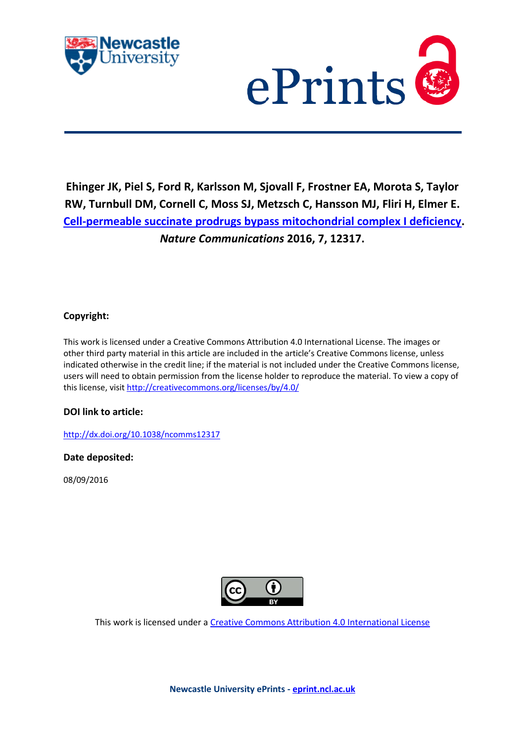



**Ehinger JK, Piel S, Ford R, Karlsson M, Sjovall F, Frostner EA, Morota S, Taylor RW, Turnbull DM, Cornell C, Moss SJ, Metzsch C, Hansson MJ, Fliri H, Elmer E. [Cell-permeable succinate prodrugs bypass mitochondrial complex I deficiency.](javascript:ViewPublication(227825);)**  *Nature Communications* **2016, 7, 12317.**

### **Copyright:**

This work is licensed under a Creative Commons Attribution 4.0 International License. The images or other third party material in this article are included in the article's Creative Commons license, unless indicated otherwise in the credit line; if the material is not included under the Creative Commons license, users will need to obtain permission from the license holder to reproduce the material. To view a copy of this license, visit<http://creativecommons.org/licenses/by/4.0/>

### **DOI link to article:**

<http://dx.doi.org/10.1038/ncomms12317>

### **Date deposited:**

08/09/2016



This work is licensed under [a Creative Commons Attribution 4.0 International License](http://creativecommons.org/licenses/by/4.0/)

**Newcastle University ePrints - [eprint.ncl.ac.uk](http://eprint.ncl.ac.uk/)**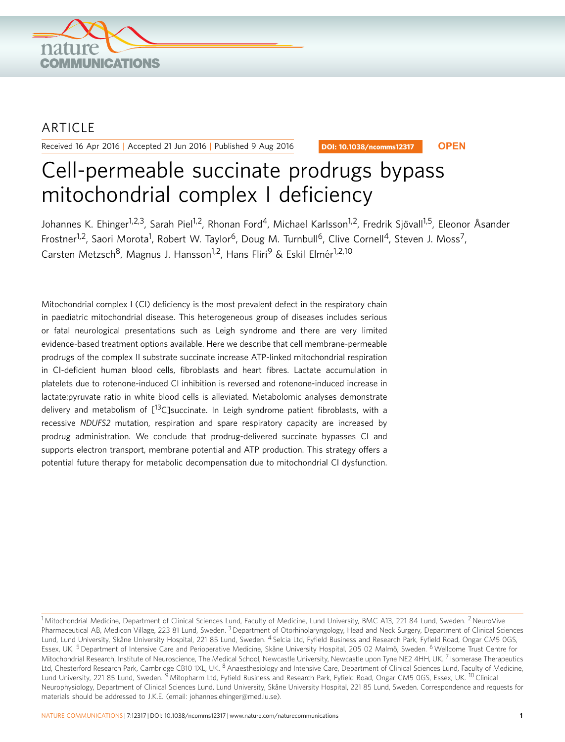

## ARTICLE

Received 16 Apr 2016 | Accepted 21 Jun 2016 | Published 9 Aug 2016

DOI: 10.1038/ncomms12317 **OPEN**

# Cell-permeable succinate prodrugs bypass mitochondrial complex I deficiency

Johannes K. Ehinger<sup>1,2,3</sup>, Sarah Piel<sup>1,2</sup>, Rhonan Ford<sup>4</sup>, Michael Karlsson<sup>1,2</sup>, Fredrik Siövall<sup>1,5</sup>, Eleonor Åsander Frostner<sup>1,2</sup>, Saori Morota<sup>1</sup>, Robert W. Taylor<sup>6</sup>, Doug M. Turnbull<sup>6</sup>, Clive Cornell<sup>4</sup>, Steven J. Moss<sup>7</sup>, Carsten Metzsch<sup>8</sup>, Magnus J. Hansson<sup>1,2</sup>, Hans Fliri<sup>9</sup> & Eskil Elmér<sup>1,2,10</sup>

Mitochondrial complex I (CI) deficiency is the most prevalent defect in the respiratory chain in paediatric mitochondrial disease. This heterogeneous group of diseases includes serious or fatal neurological presentations such as Leigh syndrome and there are very limited evidence-based treatment options available. Here we describe that cell membrane-permeable prodrugs of the complex II substrate succinate increase ATP-linked mitochondrial respiration in CI-deficient human blood cells, fibroblasts and heart fibres. Lactate accumulation in platelets due to rotenone-induced CI inhibition is reversed and rotenone-induced increase in lactate:pyruvate ratio in white blood cells is alleviated. Metabolomic analyses demonstrate delivery and metabolism of  $\int_{0}^{13}$ C]succinate. In Leigh syndrome patient fibroblasts, with a recessive NDUFS2 mutation, respiration and spare respiratory capacity are increased by prodrug administration. We conclude that prodrug-delivered succinate bypasses CI and supports electron transport, membrane potential and ATP production. This strategy offers a potential future therapy for metabolic decompensation due to mitochondrial CI dysfunction.

<sup>&</sup>lt;sup>1</sup> Mitochondrial Medicine, Department of Clinical Sciences Lund, Faculty of Medicine, Lund University, BMC A13, 221 84 Lund, Sweden. <sup>2</sup> NeuroVive Pharmaceutical AB, Medicon Village, 223 81 Lund, Sweden. <sup>3</sup> Department of Otorhinolaryngology, Head and Neck Surgery, Department of Clinical Sciences Lund, Lund University, Skåne University Hospital, 221 85 Lund, Sweden. <sup>4</sup> Selcia Ltd, Fyfield Business and Research Park, Fyfield Road, Ongar CM5 0GS, Essex, UK. <sup>5</sup> Department of Intensive Care and Perioperative Medicine, Skåne University Hospital, 205 02 Malmö, Sweden. <sup>6</sup> Wellcome Trust Centre for Mitochondrial Research, Institute of Neuroscience, The Medical School, Newcastle University, Newcastle upon Tyne NE2 4HH, UK. <sup>7</sup> Isomerase Therapeutics Ltd, Chesterford Research Park, Cambridge CB10 1XL, UK. <sup>8</sup> Anaesthesiology and Intensive Care, Department of Clinical Sciences Lund, Faculty of Medicine, Lund University, 221 85 Lund, Sweden. <sup>9</sup> Mitopharm Ltd, Fyfield Business and Research Park, Fyfield Road, Ongar CM5 0GS, Essex, UK. <sup>10</sup> Clinical Neurophysiology, Department of Clinical Sciences Lund, Lund University, Skåne University Hospital, 221 85 Lund, Sweden. Correspondence and requests for materials should be addressed to J.K.E. (email: [johannes.ehinger@med.lu.se](mailto:johannes.ehinger@med.lu.se)).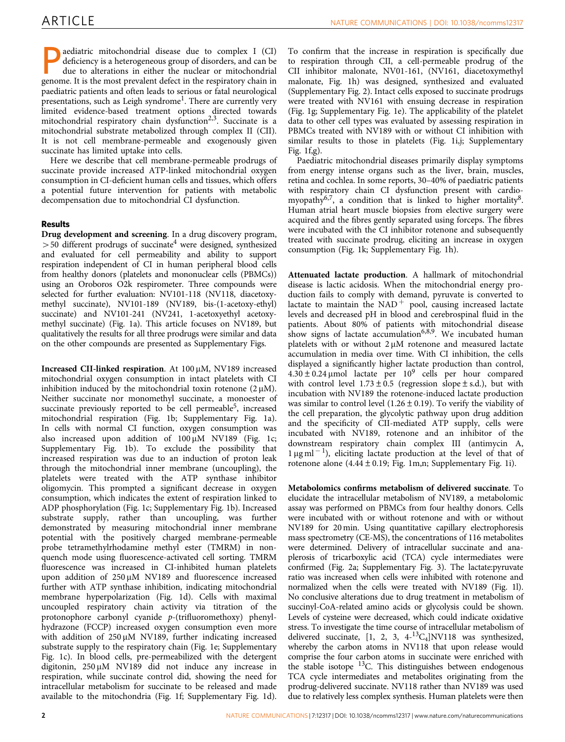aediatric mitochondrial disease due to complex I (CI) deficiency is a heterogeneous group of disorders, and can be due to alterations in either the nuclear or mitochondrial genome. It is the most prevalent defect in the respiratory chain in paediatric patients and often leads to serious or fatal neurological presentations, such as Leigh syndrome<sup>[1](#page-7-0)</sup>. There are currently very limited evidence-based treatment options directed towards mitochondrial respiratory chain dysfunction<sup>[2,3](#page-7-0)</sup>. Succinate is a mitochondrial substrate metabolized through complex II (CII). It is not cell membrane-permeable and exogenously given succinate has limited uptake into cells.

Here we describe that cell membrane-permeable prodrugs of succinate provide increased ATP-linked mitochondrial oxygen consumption in CI-deficient human cells and tissues, which offers a potential future intervention for patients with metabolic decompensation due to mitochondrial CI dysfunction.

### Results

Drug development and screening. In a drug discovery program,  $>$  50 different prodrugs of succinate<sup>[4](#page-7-0)</sup> were designed, synthesized and evaluated for cell permeability and ability to support respiration independent of CI in human peripheral blood cells from healthy donors (platelets and mononuclear cells (PBMCs)) using an Oroboros O2k respirometer. Three compounds were selected for further evaluation: NV101-118 (NV118, diacetoxymethyl succinate), NV101-189 (NV189, bis-(1-acetoxy-ethyl) succinate) and NV101-241 (NV241, 1-acetoxyethyl acetoxymethyl succinate) [\(Fig. 1a](#page-4-0)). This article focuses on NV189, but qualitatively the results for all three prodrugs were similar and data on the other compounds are presented as Supplementary Figs.

Increased CII-linked respiration. At 100 µM, NV189 increased mitochondrial oxygen consumption in intact platelets with CI inhibition induced by the mitochondrial toxin rotenone  $(2 \mu M)$ . Neither succinate nor monomethyl succinate, a monoester of succinate previously reported to be cell permeable<sup>5</sup>, increased mitochondrial respiration [\(Fig. 1b;](#page-4-0) Supplementary Fig. 1a). In cells with normal CI function, oxygen consumption was also increased upon addition of  $100 \mu M$  NV189 [\(Fig. 1c;](#page-4-0) Supplementary Fig. 1b). To exclude the possibility that increased respiration was due to an induction of proton leak through the mitochondrial inner membrane (uncoupling), the platelets were treated with the ATP synthase inhibitor oligomycin. This prompted a significant decrease in oxygen consumption, which indicates the extent of respiration linked to ADP phosphorylation ([Fig. 1c;](#page-4-0) Supplementary Fig. 1b). Increased substrate supply, rather than uncoupling, was further demonstrated by measuring mitochondrial inner membrane potential with the positively charged membrane-permeable probe tetramethylrhodamine methyl ester (TMRM) in nonquench mode using fluorescence-activated cell sorting. TMRM fluorescence was increased in CI-inhibited human platelets upon addition of  $250 \mu M$  NV189 and fluorescence increased further with ATP synthase inhibition, indicating mitochondrial membrane hyperpolarization [\(Fig. 1d](#page-4-0)). Cells with maximal uncoupled respiratory chain activity via titration of the protonophore carbonyl cyanide p-(trifluoromethoxy) phenylhydrazone (FCCP) increased oxygen consumption even more with addition of  $250 \mu M$  NV189, further indicating increased substrate supply to the respiratory chain [\(Fig. 1e;](#page-4-0) Supplementary Fig. 1c). In blood cells, pre-permeabilized with the detergent digitonin, 250 µM NV189 did not induce any increase in respiration, while succinate control did, showing the need for intracellular metabolism for succinate to be released and made available to the mitochondria ([Fig. 1f;](#page-4-0) Supplementary Fig. 1d).

To confirm that the increase in respiration is specifically due to respiration through CII, a cell-permeable prodrug of the CII inhibitor malonate, NV01-161, (NV161, diacetoxymethyl malonate, [Fig. 1h](#page-4-0)) was designed, synthesized and evaluated (Supplementary Fig. 2). Intact cells exposed to succinate prodrugs were treated with NV161 with ensuing decrease in respiration ([Fig. 1g;](#page-4-0) Supplementary Fig. 1e). The applicability of the platelet data to other cell types was evaluated by assessing respiration in PBMCs treated with NV189 with or without CI inhibition with similar results to those in platelets [\(Fig. 1i,j](#page-4-0); Supplementary Fig. 1f,g).

Paediatric mitochondrial diseases primarily display symptoms from energy intense organs such as the liver, brain, muscles, retina and cochlea. In some reports, 30–40% of paediatric patients with respiratory chain CI dysfunction present with cardiomyopathy<sup>6,7</sup>, a condition that is linked to higher mortality<sup>8</sup>. Human atrial heart muscle biopsies from elective surgery were acquired and the fibres gently separated using forceps. The fibres were incubated with the CI inhibitor rotenone and subsequently treated with succinate prodrug, eliciting an increase in oxygen consumption ([Fig. 1k](#page-4-0); Supplementary Fig. 1h).

Attenuated lactate production. A hallmark of mitochondrial disease is lactic acidosis. When the mitochondrial energy production fails to comply with demand, pyruvate is converted to lactate to maintain the  $NAD$ <sup>+</sup> pool, causing increased lactate levels and decreased pH in blood and cerebrospinal fluid in the patients. About 80% of patients with mitochondrial disease show signs of lactate accumulation<sup>[6,8,9](#page-7-0)</sup>. We incubated human platelets with or without  $2 \mu M$  rotenone and measured lactate accumulation in media over time. With CI inhibition, the cells displayed a significantly higher lactate production than control,  $4.30 \pm 0.24$  µmol lactate per 10<sup>9</sup> cells per hour compared with control level  $1.73 \pm 0.5$  (regression slope  $\pm$  s.d.), but with incubation with NV189 the rotenone-induced lactate production was similar to control level (1.26  $\pm$  0.19). To verify the viability of the cell preparation, the glycolytic pathway upon drug addition and the specificity of CII-mediated ATP supply, cells were incubated with NV189, rotenone and an inhibitor of the downstream respiratory chain complex III (antimycin A,  $1 \mu g$  ml<sup>-1</sup>), eliciting lactate production at the level of that of rotenone alone  $(4.44 \pm 0.19;$  [Fig. 1m,n;](#page-4-0) Supplementary Fig. 1i).

Metabolomics confirms metabolism of delivered succinate. To elucidate the intracellular metabolism of NV189, a metabolomic assay was performed on PBMCs from four healthy donors. Cells were incubated with or without rotenone and with or without NV189 for 20 min. Using quantitative capillary electrophoresis mass spectrometry (CE-MS), the concentrations of 116 metabolites were determined. Delivery of intracellular succinate and anaplerosis of tricarboxylic acid (TCA) cycle intermediates were confirmed [\(Fig. 2a;](#page-4-0) Supplementary Fig. 3). The lactate:pyruvate ratio was increased when cells were inhibited with rotenone and normalized when the cells were treated with NV189 [\(Fig. 1l](#page-4-0)). No conclusive alterations due to drug treatment in metabolism of succinyl-CoA-related amino acids or glycolysis could be shown. Levels of cysteine were decreased, which could indicate oxidative stress. To investigate the time course of intracellular metabolism of delivered succinate, [1, 2, 3, 4-13C4]NV118 was synthesized, whereby the carbon atoms in NV118 that upon release would comprise the four carbon atoms in succinate were enriched with the stable isotope <sup>13</sup>C. This distinguishes between endogenous TCA cycle intermediates and metabolites originating from the prodrug-delivered succinate. NV118 rather than NV189 was used due to relatively less complex synthesis. Human platelets were then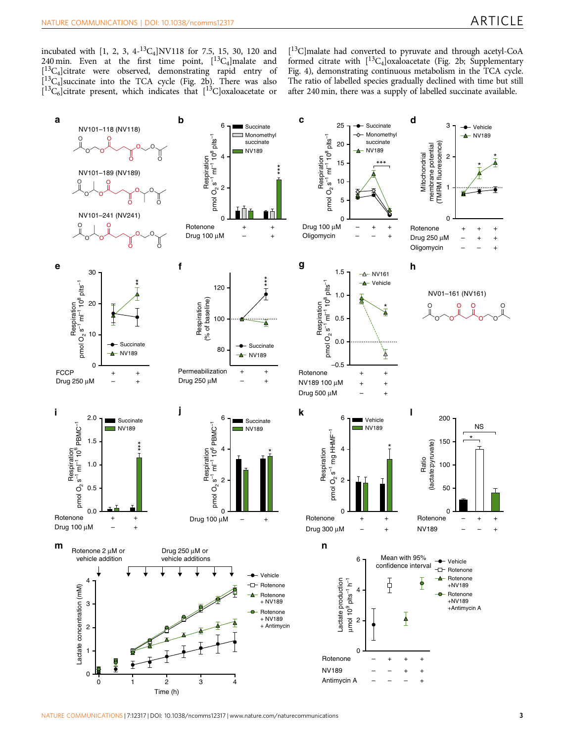incubated with [1, 2, 3,  $4^{-13}C_4$ ]NV118 for 7.5, 15, 30, 120 and 240 min. Even at the first time point,  $[{}^{13}C_4]$ malate and  $\begin{bmatrix} 1^3C_4 \end{bmatrix}$ citrate were observed, demonstrating rapid entry of  $\begin{bmatrix} 1^3C_4 \end{bmatrix}$ succinate into the TCA cycle ([Fig. 2b\)](#page-4-0). There was also  $[{}^{13}C_6]$ citrate present, which indicates that  $[{}^{13}C]$ oxaloacetate or

[ 13C]malate had converted to pyruvate and through acetyl-CoA formed citrate with  $[{}^{13}C_4]$ oxaloacetate [\(Fig. 2b;](#page-4-0) Supplementary Fig. 4), demonstrating continuous metabolism in the TCA cycle. The ratio of labelled species gradually declined with time but still after 240 min, there was a supply of labelled succinate available.

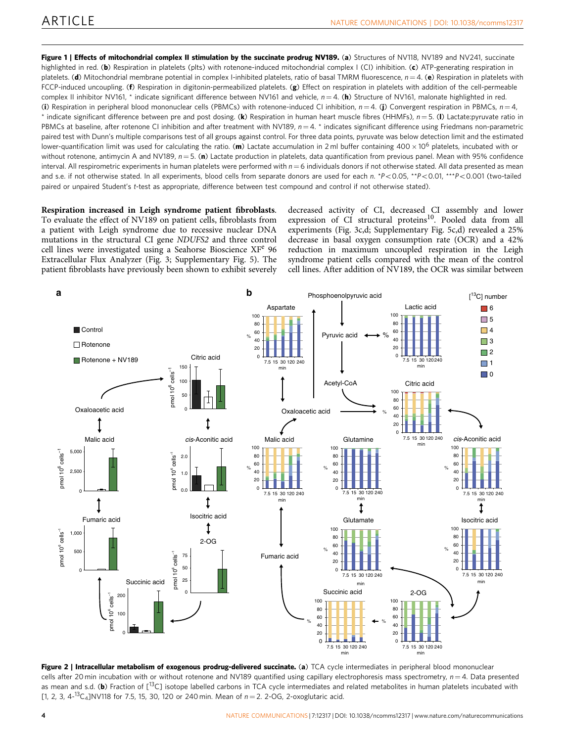<span id="page-4-0"></span>Figure 1 | Effects of mitochondrial complex II stimulation by the succinate prodrug NV189. (a) Structures of NV118, NV189 and NV241, succinate highlighted in red. (b) Respiration in platelets (plts) with rotenone-induced mitochondrial complex I (CI) inhibition. (c) ATP-generating respiration in platelets. (d) Mitochondrial membrane potential in complex I-inhibited platelets, ratio of basal TMRM fluorescence,  $n = 4$ . (e) Respiration in platelets with FCCP-induced uncoupling. (f) Respiration in digitonin-permeabilized platelets. (g) Effect on respiration in platelets with addition of the cell-permeable complex II inhibitor NV161, \* indicate significant difference between NV161 and vehicle,  $n = 4$ . (h) Structure of NV161, malonate highlighted in red. (i) Respiration in peripheral blood mononuclear cells (PBMCs) with rotenone-induced CI inhibition,  $n = 4$ . (i) Convergent respiration in PBMCs,  $n = 4$ , \* indicate significant difference between pre and post dosing. (k) Respiration in human heart muscle fibres (HHMFs),  $n = 5$ . (I) Lactate:pyruvate ratio in PBMCs at baseline, after rotenone CI inhibition and after treatment with NV189,  $n = 4$ . \* indicates significant difference using Friedmans non-parametric paired test with Dunn's multiple comparisons test of all groups against control. For three data points, pyruvate was below detection limit and the estimated lower-quantification limit was used for calculating the ratio. (m) Lactate accumulation in 2 ml buffer containing 400  $\times$  10<sup>6</sup> platelets, incubated with or without rotenone, antimycin A and NV189,  $n = 5$ . (n) Lactate production in platelets, data quantification from previous panel. Mean with 95% confidence interval. All respirometric experiments in human platelets were performed with  $n = 6$  individuals donors if not otherwise stated. All data presented as mean and s.e. if not otherwise stated. In all experiments, blood cells from separate donors are used for each n. \*P<0.05, \*\*P<0.01, \*\*\*P<0.001 (two-tailed paired or unpaired Student's t-test as appropriate, difference between test compound and control if not otherwise stated).

Respiration increased in Leigh syndrome patient fibroblasts. To evaluate the effect of NV189 on patient cells, fibroblasts from a patient with Leigh syndrome due to recessive nuclear DNA mutations in the structural CI gene NDUFS2 and three control cell lines were investigated using a Seahorse Bioscience XF<sup>e</sup> 96 Extracellular Flux Analyzer ([Fig. 3;](#page-5-0) Supplementary Fig. 5). The patient fibroblasts have previously been shown to exhibit severely

decreased activity of CI, decreased CI assembly and lower expression of  $C I$  structural proteins<sup>10</sup>. Pooled data from all experiments [\(Fig. 3c,d;](#page-5-0) Supplementary Fig. 5c,d) revealed a 25% decrease in basal oxygen consumption rate (OCR) and a 42% reduction in maximum uncoupled respiration in the Leigh syndrome patient cells compared with the mean of the control cell lines. After addition of NV189, the OCR was similar between



Figure 2 | Intracellular metabolism of exogenous prodrug-delivered succinate. (a) TCA cycle intermediates in peripheral blood mononuclear cells after 20 min incubation with or without rotenone and NV189 quantified using capillary electrophoresis mass spectrometry,  $n = 4$ . Data presented as mean and s.d. (b) Fraction of  $[13C]$  isotope labelled carbons in TCA cycle intermediates and related metabolites in human platelets incubated with [1, 2, 3,  $4^{-13}C_4$ ]NV118 for 7.5, 15, 30, 120 or 240 min. Mean of  $n = 2$ . 2-OG, 2-oxoglutaric acid.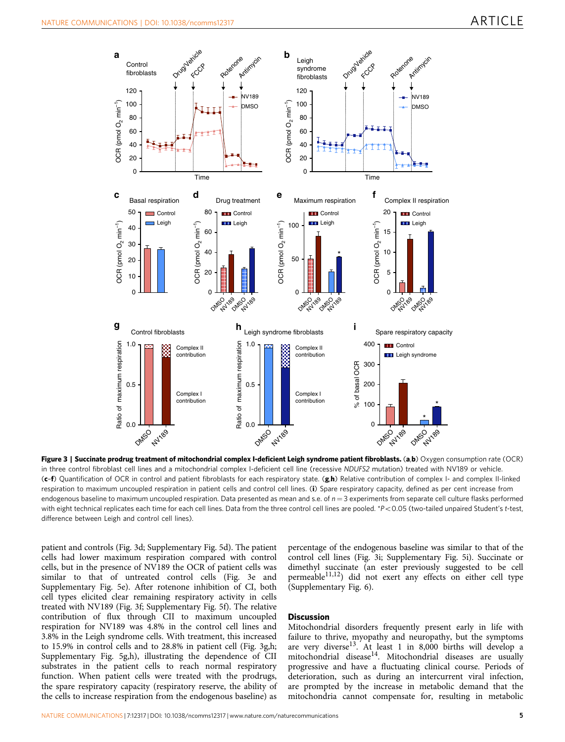<span id="page-5-0"></span>

Figure 3 | Succinate prodrug treatment of mitochondrial complex I-deficient Leigh syndrome patient fibroblasts. (a,b) Oxygen consumption rate (OCR) in three control fibroblast cell lines and a mitochondrial complex I-deficient cell line (recessive NDUFS2 mutation) treated with NV189 or vehicle. (c-f) Quantification of OCR in control and patient fibroblasts for each respiratory state. (g,h) Relative contribution of complex I- and complex II-linked respiration to maximum uncoupled respiration in patient cells and control cell lines. (i) Spare respiratory capacity, defined as per cent increase from endogenous baseline to maximum uncoupled respiration. Data presented as mean and s.e. of  $n = 3$  experiments from separate cell culture flasks performed with eight technical replicates each time for each cell lines. Data from the three control cell lines are pooled. \*P<0.05 (two-tailed unpaired Student's t-test, difference between Leigh and control cell lines).

patient and controls (Fig. 3d; Supplementary Fig. 5d). The patient cells had lower maximum respiration compared with control cells, but in the presence of NV189 the OCR of patient cells was similar to that of untreated control cells (Fig. 3e and Supplementary Fig. 5e). After rotenone inhibition of CI, both cell types elicited clear remaining respiratory activity in cells treated with NV189 (Fig. 3f; Supplementary Fig. 5f). The relative contribution of flux through CII to maximum uncoupled respiration for NV189 was 4.8% in the control cell lines and 3.8% in the Leigh syndrome cells. With treatment, this increased to 15.9% in control cells and to 28.8% in patient cell (Fig. 3g,h; Supplementary Fig. 5g,h), illustrating the dependence of CII substrates in the patient cells to reach normal respiratory function. When patient cells were treated with the prodrugs, the spare respiratory capacity (respiratory reserve, the ability of the cells to increase respiration from the endogenous baseline) as

percentage of the endogenous baseline was similar to that of the control cell lines (Fig. 3i; Supplementary Fig. 5i). Succinate or dimethyl succinate (an ester previously suggested to be cell permeable<sup>11,12</sup>) did not exert any effects on either cell type (Supplementary Fig. 6).

### **Discussion**

Mitochondrial disorders frequently present early in life with failure to thrive, myopathy and neuropathy, but the symptoms are very divers[e13](#page-7-0). At least 1 in 8,000 births will develop a mitochondrial disease<sup>[14](#page-7-0)</sup>. Mitochondrial diseases are usually progressive and have a fluctuating clinical course. Periods of deterioration, such as during an intercurrent viral infection, are prompted by the increase in metabolic demand that the mitochondria cannot compensate for, resulting in metabolic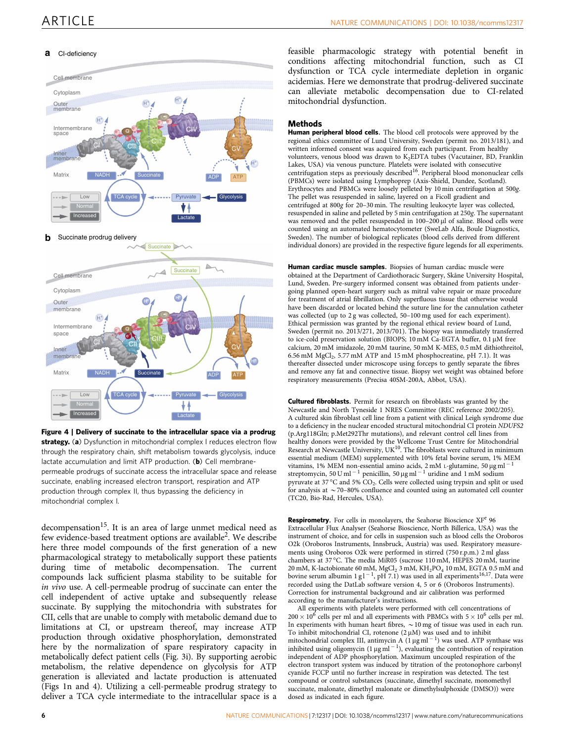### **a** CI-deficiency



### **b** Succinate prodrug delivery



Figure 4 | Delivery of succinate to the intracellular space via a prodrug strategy. (a) Dysfunction in mitochondrial complex I reduces electron flow through the respiratory chain, shift metabolism towards glycolysis, induce lactate accumulation and limit ATP production. (b) Cell membranepermeable prodrugs of succinate access the intracellular space and release succinate, enabling increased electron transport, respiration and ATP production through complex II, thus bypassing the deficiency in mitochondrial complex I.

decompensation<sup>15</sup>. It is an area of large unmet medical need as few evidence-based treatment options are available[2](#page-7-0). We describe here three model compounds of the first generation of a new pharmacological strategy to metabolically support these patients during time of metabolic decompensation. The current compounds lack sufficient plasma stability to be suitable for in vivo use. A cell-permeable prodrug of succinate can enter the cell independent of active uptake and subsequently release succinate. By supplying the mitochondria with substrates for CII, cells that are unable to comply with metabolic demand due to limitations at CI, or upstream thereof, may increase ATP production through oxidative phosphorylation, demonstrated here by the normalization of spare respiratory capacity in metabolically defect patient cells [\(Fig. 3i](#page-5-0)). By supporting aerobic metabolism, the relative dependence on glycolysis for ATP generation is alleviated and lactate production is attenuated ([Figs 1n and 4](#page-4-0)). Utilizing a cell-permeable prodrug strategy to deliver a TCA cycle intermediate to the intracellular space is a feasible pharmacologic strategy with potential benefit in conditions affecting mitochondrial function, such as CI dysfunction or TCA cycle intermediate depletion in organic acidemias. Here we demonstrate that prodrug-delivered succinate can alleviate metabolic decompensation due to CI-related mitochondrial dysfunction.

### **Methods**

Human peripheral blood cells. The blood cell protocols were approved by the regional ethics committee of Lund University, Sweden (permit no. 2013/181), and written informed consent was acquired from each participant. From healthy volunteers, venous blood was drawn to K<sub>2</sub>EDTA tubes (Vacutainer, BD, Franklin Lakes, USA) via venous puncture. Platelets were isolated with consecutive centrifugation steps as previously described<sup>16</sup>. Peripheral blood mononuclear cells (PBMCs) were isolated using Lymphoprep (Axis-Shield, Dundee, Scotland). Erythrocytes and PBMCs were loosely pelleted by 10 min centrifugation at 500g. The pellet was resuspended in saline, layered on a Ficoll gradient and centrifuged at 800g for 20–30 min. The resulting leukocyte layer was collected, resuspended in saline and pelleted by 5 min centrifugation at 250g. The supernatant was removed and the pellet resuspended in 100-200 µl of saline. Blood cells were counted using an automated hematocytometer (SweLab Alfa, Boule Diagnostics, Sweden). The number of biological replicates (blood cells derived from different individual donors) are provided in the respective figure legends for all experiments.

Human cardiac muscle samples. Biopsies of human cardiac muscle were obtained at the Department of Cardiothoracic Surgery, Skåne University Hospital, Lund, Sweden. Pre-surgery informed consent was obtained from patients undergoing planned open-heart surgery such as mitral valve repair or maze procedure for treatment of atrial fibrillation. Only superfluous tissue that otherwise would have been discarded or located behind the suture line for the cannulation catheter was collected (up to 2 g was collected, 50-100 mg used for each experiment). Ethical permission was granted by the regional ethical review board of Lund, Sweden (permit no. 2013/271, 2013/701). The biopsy was immediately transferred to ice-cold preservation solution (BIOPS;  $10 \text{ mM }$ Ca-EGTA buffer,  $0.1 \mu \text{M }$  free calcium, 20 mM imidazole, 20 mM taurine, 50 mM K-MES, 0.5 mM dithiothreitol, 6.56 mM MgCl2, 5.77 mM ATP and 15 mM phosphocreatine, pH 7.1). It was thereafter dissected under microscope using forceps to gently separate the fibres and remove any fat and connective tissue. Biopsy wet weight was obtained before respiratory measurements (Precisa 40SM-200A, Abbot, USA).

Cultured fibroblasts. Permit for research on fibroblasts was granted by the Newcastle and North Tyneside 1 NRES Committee (REC reference 2002/205). A cultured skin fibroblast cell line from a patient with clinical Leigh syndrome due to a deficiency in the nuclear encoded structural mitochondrial CI protein NDUFS2 (p.Arg118Gln; p.Met292Thr mutations), and relevant control cell lines from healthy donors were provided by the Wellcome Trust Centre for Mitochondrial Research at Newcastle University,  $UK^{10}$ . The fibroblasts were cultured in minimum essential medium (MEM) supplemented with 10% fetal bovine serum, 1% MEM vitamins, 1% MEM non-essential amino acids, 2 mM L-glutamine, 50  $\mu$ g ml<sup>-1</sup> streptomycin, 50 U ml<sup>-1</sup> penicillin, 50 µg ml<sup>-1</sup> uridine and 1 mM sodium pyruvate at 37  $\mathrm{^{\circ}C}$  and 5%  $\mathrm{CO}_{2}$ . Cells were collected using trypsin and split or used for analysis at  $\sim$  70–80% confluence and counted using an automated cell counter (TC20, Bio-Rad, Hercules, USA).

Respirometry. For cells in monolayers, the Seahorse Bioscience XF<sup>e</sup> 96 Extracellular Flux Analyser (Seahorse Bioscience, North Billerica, USA) was the instrument of choice, and for cells in suspension such as blood cells the Oroboros O2k (Oroboros Instruments, Innsbruck, Austria) was used. Respiratory measurements using Oroboros O2k were performed in stirred (750 r.p.m.) 2 ml glass chambers at 37 °C. The media MiR05 (sucrose 110 mM, HEPES 20 mM, taurine 20 mM, K-lactobionate 60 mM,  $MgCl<sub>2</sub>$  3 mM,  $KH<sub>2</sub>PO<sub>4</sub>$  10 mM, EGTA 0.5 mM and bovine serum albumin 1 g  $1^{-1}$ , pH 7.1) was used in all experiments<sup>16,17</sup>. Data were recorded using the DatLab software version 4, 5 or 6 (Oroboros Instruments). Correction for instrumental background and air calibration was performed according to the manufacturer's instructions.

All experiments with platelets were performed with cell concentrations of  $200 \times 10^6$  cells per ml and all experiments with PBMCs with  $5 \times 10^6$  cells per ml. In experiments with human heart fibres,  $\sim$  10 mg of tissue was used in each run. To inhibit mitochondrial CI, rotenone  $(2 \mu M)$  was used and to inhibit mitochondrial complex III, antimycin A  $(1 \mu g \, ml^{-1})$  was used. ATP synthase was inhibited using oligomycin  $(1 \mu g \text{ ml}^{-1})$ , evaluating the contribution of respiration independent of ADP phosphorylation. Maximum uncoupled respiration of the electron transport system was induced by titration of the protonophore carbonyl cyanide FCCP until no further increase in respiration was detected. The test compound or control substances (succinate, dimethyl succinate, monomethyl succinate, malonate, dimethyl malonate or dimethylsulphoxide (DMSO)) were dosed as indicated in each figure.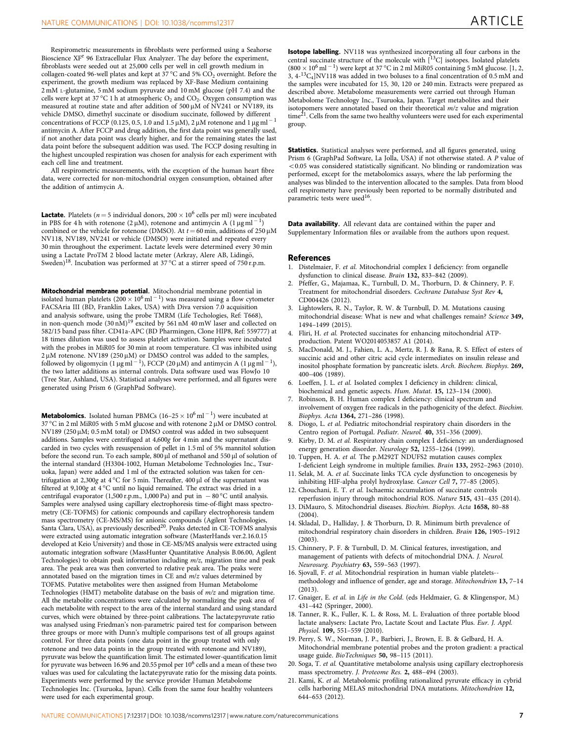<span id="page-7-0"></span>collagen-coated 96-well plates and kept at 37  $^{\circ}$ C and 5% CO<sub>2</sub> overnight. Before the experiment, the growth medium was replaced by XF-Base Medium containing 2 mM L-glutamine, 5 mM sodium pyruvate and 10 mM glucose (pH 7.4) and the cells were kept at 37 °C 1 h at atmospheric  $\mathrm{O}_2$  and  $\mathrm{CO}_2$ . Oxygen consumption was measured at routine state and after addition of  $500 \mu M$  of NV241 or NV189, its vehicle DMSO, dimethyl succinate or disodium succinate, followed by different concentrations of FCCP (0.125, 0.5, 1.0 and 1.5  $\mu$ M), 2  $\mu$ M rotenone and 1  $\mu$ g ml  $^{-1}$ antimycin A. After FCCP and drug addition, the first data point was generally used, if not another data point was clearly higher, and for the remaining states the last data point before the subsequent addition was used. The FCCP dosing resulting in the highest uncoupled respiration was chosen for analysis for each experiment with each cell line and treatment.

All respirometric measurements, with the exception of the human heart fibre data, were corrected for non-mitochondrial oxygen consumption, obtained after the addition of antimycin A.

**Lactate.** Platelets ( $n = 5$  individual donors, 200  $\times$  10<sup>6</sup> cells per ml) were incubated in PBS for 4 h with rotenone (2  $\mu$ M), rotenone and antimycin A (1  $\mu$ g ml<sup>-1</sup>) combined or the vehicle for rotenone (DMSO). At  $t = 60$  min, additions of 250  $\mu$ M NV118, NV189, NV241 or vehicle (DMSO) were initiated and repeated every 30 min throughout the experiment. Lactate levels were determined every 30 min using a Lactate ProTM 2 blood lactate meter (Arkray, Alere AB, Lidingö, Sweden)<sup>18</sup>. Incubation was performed at 37 °C at a stirrer speed of 750 r.p.m.

Mitochondrial membrane potential. Mitochondrial membrane potential in isolated human platelets (200  $\times$  10<sup>6</sup> ml  $^{-1}$ ) was measured using a flow cytometer FACSAria III (BD, Franklin Lakes, USA) with Diva version 7.0 acquisition and analysis software, using the probe TMRM (Life Techologies, Ref: T668),<br>in non-quench mode (30 nM)<sup>19</sup> excited by 561 nM 40 mW laser and collected on 582/15 band pass filter. CD41a-APC (BD Pharmingen, Clone HIP8, Ref: 559777) at 18 times dilution was used to assess platelet activation. Samples were incubated with the probes in MiR05 for 30 min at room temperature. CI was inhibited using  $2 \mu$ M rotenone. NV189 (250  $\mu$ M) or DMSO control was added to the samples, followed by oligomycin (1  $\mu$ g ml<sup>-1</sup>), FCCP (20  $\mu$ M) and antimycin A (1  $\mu$ g ml<sup>-1</sup>), the two latter additions as internal controls. Data software used was FlowJo 10 (Tree Star, Ashland, USA). Statistical analyses were performed, and all figures were generated using Prism 6 (GraphPad Software).

**Metabolomics.** Isolated human PBMCs  $(16-25 \times 10^6 \text{ ml}^{-1})$  were incubated at 37 °C in 2 ml MiR05 with 5 mM glucose and with rotenone 2 µM or DMSO control. NV189 (250 mM; 0.5 mM total) or DMSO control was added in two subsequent additions. Samples were centrifuged at 4,600g for 4 min and the supernatant discarded in two cycles with resuspension of pellet in 1.5 ml of 5% mannitol solution before the second run. To each sample,  $800 \,\mathrm{\upmu}$  of methanol and  $550 \,\mathrm{\upmu}$  of solution of the internal standard (H3304-1002, Human Metabolome Technologies Inc., Tsuruoka, Japan) were added and 1 ml of the extracted solution was taken for centrifugation at 2,300g at 4 °C for 5 min. Thereafter, 400  $\mu$ l of the supernatant was filtered at 9,100g at 4  $^{\circ}\textrm{C}$  until no liquid remained. The extract was dried in a centrifugal evaporator (1,500 r.p.m., 1,000 Pa) and put in  $-$  80 °C until analysis. Samples were analysed using capillary electrophoresis time-of-flight mass spectrometry (CE-TOFMS) for cationic compounds and capillary electrophoresis tandem mass spectrometry (CE-MS/MS) for anionic compounds (Agilent Technologies,<br>Santa Clara, USA), as previously described<sup>20</sup>. Peaks detected in CE-TOFMS analysis were extracted using automatic integration software (MasterHands ver.2.16.0.15 developed at Keio University) and those in CE-MS/MS analysis were extracted using automatic integration software (MassHunter Quantitative Analysis B.06.00, Agilent Technologies) to obtain peak information including m/z, migration time and peak area. The peak area was then converted to relative peak area. The peaks were annotated based on the migration times in CE and  $m/z$  values determined by TOFMS. Putative metabolites were then assigned from Human Metabolome Technologies (HMT) metabolite database on the basis of m/z and migration time. All the metabolite concentrations were calculated by normalizing the peak area of each metabolite with respect to the area of the internal standard and using standard curves, which were obtained by three-point calibrations. The lactate:pyruvate ratio was analysed using Friedman's non-parametric paired test for comparison between three groups or more with Dunn's multiple comparisons test of all groups against control. For three data points (one data point in the group treated with only rotenone and two data points in the group treated with rotenone and NV189), pyruvate was below the quantification limit. The estimated lower-quantification limit for pyruvate was between 16.96 and 20.55 pmol per 106 cells and a mean of these two values was used for calculating the lactate:pyruvate ratio for the missing data points. Experiments were performed by the service provider Human Metabolome Technologies Inc. (Tsuruoka, Japan). Cells from the same four healthy volunteers were used for each experimental group.

Isotope labelling. NV118 was synthesized incorporating all four carbons in the central succinate structure of the molecule with  $[^{13}C]$  isotopes. Isolated platelets  $(800 \times 10^6 \,\mathrm{ml}^{-1})$  were kept at 37 °C in 2 ml MiR05 containing 5 mM glucose. [1, 2, 3, 4-13C4]NV118 was added in two boluses to a final concentration of 0.5 mM and the samples were incubated for 15, 30, 120 or 240 min. Extracts were prepared as described above. Metabolome measurements were carried out through Human Metabolome Technology Inc., Tsuruoka, Japan. Target metabolites and their isotopomers were annotated based on their theoretical m/z value and migration  $time^{21}$ . Cells from the same two healthy volunteers were used for each experimental group.

Statistics. Statistical analyses were performed, and all figures generated, using Prism 6 (GraphPad Software, La Jolla, USA) if not otherwise stated. A P value of o0.05 was considered statistically significant. No blinding or randomization was performed, except for the metabolomics assays, where the lab performing the analyses was blinded to the intervention allocated to the samples. Data from blood cell respirometry have previously been reported to be normally distributed and parametric tests were used<sup>16</sup>.

Data availability. All relevant data are contained within the paper and Supplementary Information files or available from the authors upon request.

### References

- 1. Distelmaier, F. et al. Mitochondrial complex I deficiency: from organelle dysfunction to clinical disease. Brain 132, 833–842 (2009).
- 2. Pfeffer, G., Majamaa, K., Turnbull, D. M., Thorburn, D. & Chinnery, P. F. Treatment for mitochondrial disorders. Cochrane Database Syst Rev 4, CD004426 (2012).
- 3. Lightowlers, R. N., Taylor, R. W. & Turnbull, D. M. Mutations causing mitochondrial disease: What is new and what challenges remain? Science 349, 1494–1499 (2015).
- 4. Fliri, H. et al. Protected succinates for enhancing mitochondrial ATPproduction. Patent WO2014053857 A1 (2014).
- 5. MacDonald, M. J., Fahien, L. A., Mertz, R. J. & Rana, R. S. Effect of esters of succinic acid and other citric acid cycle intermediates on insulin release and inositol phosphate formation by pancreatic islets. Arch. Biochem. Biophys. 269, 400–406 (1989).
- Loeffen, J. L. et al. Isolated complex I deficiency in children: clinical, biochemical and genetic aspects. Hum. Mutat. 15, 123–134 (2000).
- 7. Robinson, B. H. Human complex I deficiency: clinical spectrum and involvement of oxygen free radicals in the pathogenicity of the defect. Biochim. Biophys. Acta 1364, 271–286 (1998).
- 8. Diogo, L. et al. Pediatric mitochondrial respiratory chain disorders in the Centro region of Portugal. Pediatr. Neurol. 40, 351–356 (2009).
- Kirby, D. M. et al. Respiratory chain complex I deficiency: an underdiagnosed energy generation disorder. Neurology 52, 1255–1264 (1999).
- 10. Tuppen, H. A. et al. The p.M292T NDUFS2 mutation causes complex I-deficient Leigh syndrome in multiple families. Brain 133, 2952–2963 (2010).
- 11. Selak, M. A. et al. Succinate links TCA cycle dysfunction to oncogenesis by inhibiting HIF-alpha prolyl hydroxylase. Cancer Cell 7, 77–85 (2005). 12. Chouchani, E. T. et al. Ischaemic accumulation of succinate controls
- reperfusion injury through mitochondrial ROS. Nature 515, 431–435 (2014). 13. DiMauro, S. Mitochondrial diseases. Biochim. Biophys. Acta 1658, 80–88
- (2004). 14. Skladal, D., Halliday, J. & Thorburn, D. R. Minimum birth prevalence of mitochondrial respiratory chain disorders in children. Brain 126, 1905–1912  $(2003)$
- 15. Chinnery, P. F. & Turnbull, D. M. Clinical features, investigation, and management of patients with defects of mitochondrial DNA. J. Neurol. Neurosurg. Psychiatry 63, 559–563 (1997).
- 16. Sjovall, F. et al. Mitochondrial respiration in human viable platelets- methodology and influence of gender, age and storage. Mitochondrion 13, 7–14 (2013).
- 17. Gnaiger, E. et al. in Life in the Cold. (eds Heldmaier, G. & Klingenspor, M.) 431–442 (Springer, 2000).
- 18. Tanner, R. K., Fuller, K. L. & Ross, M. L. Evaluation of three portable blood lactate analysers: Lactate Pro, Lactate Scout and Lactate Plus. Eur. J. Appl. Physiol. 109, 551–559 (2010).
- 19. Perry, S. W., Norman, J. P., Barbieri, J., Brown, E. B. & Gelbard, H. A. Mitochondrial membrane potential probes and the proton gradient: a practical usage guide. BioTechniques 50, 98–115 (2011).
- 20. Soga, T. et al. Quantitative metabolome analysis using capillary electrophoresis mass spectrometry. J. Proteome Res. 2, 488–494 (2003).
- 21. Kami, K. et al. Metabolomic profiling rationalized pyruvate efficacy in cybrid cells harboring MELAS mitochondrial DNA mutations. Mitochondrion 12, 644–653 (2012).